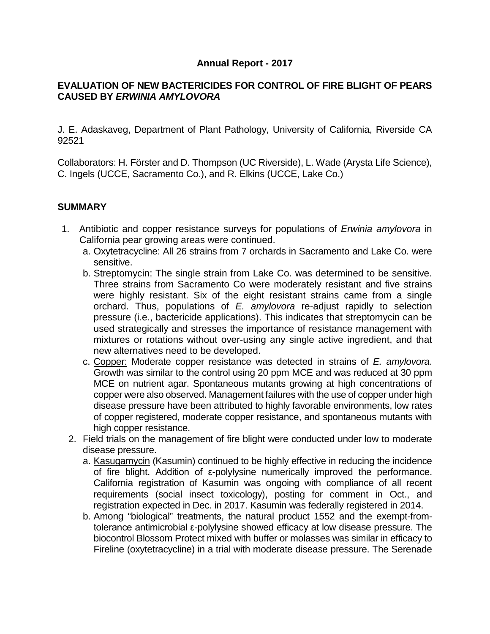## **Annual Report - 2017**

## **EVALUATION OF NEW BACTERICIDES FOR CONTROL OF FIRE BLIGHT OF PEARS CAUSED BY** *ERWINIA AMYLOVORA*

J. E. Adaskaveg, Department of Plant Pathology, University of California, Riverside CA 92521

Collaborators: H. Förster and D. Thompson (UC Riverside), L. Wade (Arysta Life Science), C. Ingels (UCCE, Sacramento Co.), and R. Elkins (UCCE, Lake Co.)

### **SUMMARY**

- 1. Antibiotic and copper resistance surveys for populations of *Erwinia amylovora* in California pear growing areas were continued.
	- a. Oxytetracycline: All 26 strains from 7 orchards in Sacramento and Lake Co. were sensitive.
	- b. Streptomycin: The single strain from Lake Co. was determined to be sensitive. Three strains from Sacramento Co were moderately resistant and five strains were highly resistant. Six of the eight resistant strains came from a single orchard. Thus, populations of *E. amylovora* re-adjust rapidly to selection pressure (i.e., bactericide applications). This indicates that streptomycin can be used strategically and stresses the importance of resistance management with mixtures or rotations without over-using any single active ingredient, and that new alternatives need to be developed.
	- c. Copper: Moderate copper resistance was detected in strains of *E. amylovora*. Growth was similar to the control using 20 ppm MCE and was reduced at 30 ppm MCE on nutrient agar. Spontaneous mutants growing at high concentrations of copper were also observed. Management failures with the use of copper under high disease pressure have been attributed to highly favorable environments, low rates of copper registered, moderate copper resistance, and spontaneous mutants with high copper resistance.
	- 2. Field trials on the management of fire blight were conducted under low to moderate disease pressure.
		- a. Kasugamycin (Kasumin) continued to be highly effective in reducing the incidence of fire blight. Addition of ε-polylysine numerically improved the performance. California registration of Kasumin was ongoing with compliance of all recent requirements (social insect toxicology), posting for comment in Oct., and registration expected in Dec. in 2017. Kasumin was federally registered in 2014.
		- b. Among "biological" treatments, the natural product 1552 and the exempt-fromtolerance antimicrobial ε-polylysine showed efficacy at low disease pressure. The biocontrol Blossom Protect mixed with buffer or molasses was similar in efficacy to Fireline (oxytetracycline) in a trial with moderate disease pressure. The Serenade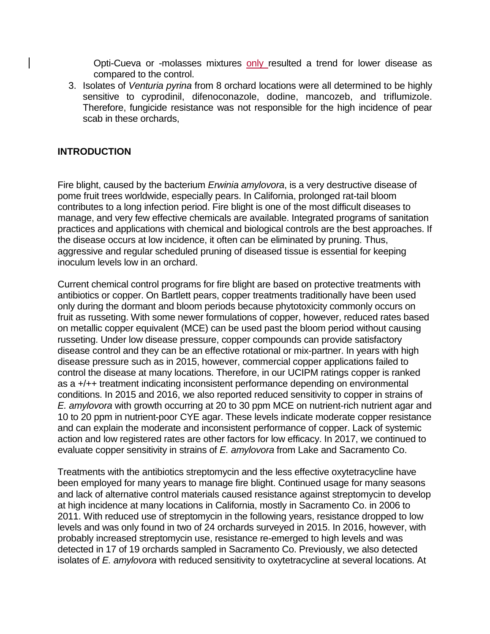Opti-Cueva or -molasses mixtures only resulted a trend for lower disease as compared to the control.

3. Isolates of *Venturia pyrina* from 8 orchard locations were all determined to be highly sensitive to cyprodinil, difenoconazole, dodine, mancozeb, and triflumizole. Therefore, fungicide resistance was not responsible for the high incidence of pear scab in these orchards,

#### **INTRODUCTION**

Fire blight, caused by the bacterium *Erwinia amylovora*, is a very destructive disease of pome fruit trees worldwide, especially pears. In California, prolonged rat-tail bloom contributes to a long infection period. Fire blight is one of the most difficult diseases to manage, and very few effective chemicals are available. Integrated programs of sanitation practices and applications with chemical and biological controls are the best approaches. If the disease occurs at low incidence, it often can be eliminated by pruning. Thus, aggressive and regular scheduled pruning of diseased tissue is essential for keeping inoculum levels low in an orchard.

Current chemical control programs for fire blight are based on protective treatments with antibiotics or copper. On Bartlett pears, copper treatments traditionally have been used only during the dormant and bloom periods because phytotoxicity commonly occurs on fruit as russeting. With some newer formulations of copper, however, reduced rates based on metallic copper equivalent (MCE) can be used past the bloom period without causing russeting. Under low disease pressure, copper compounds can provide satisfactory disease control and they can be an effective rotational or mix-partner. In years with high disease pressure such as in 2015, however, commercial copper applications failed to control the disease at many locations. Therefore, in our UCIPM ratings copper is ranked as a +/++ treatment indicating inconsistent performance depending on environmental conditions. In 2015 and 2016, we also reported reduced sensitivity to copper in strains of *E. amylovora* with growth occurring at 20 to 30 ppm MCE on nutrient-rich nutrient agar and 10 to 20 ppm in nutrient-poor CYE agar. These levels indicate moderate copper resistance and can explain the moderate and inconsistent performance of copper. Lack of systemic action and low registered rates are other factors for low efficacy. In 2017, we continued to evaluate copper sensitivity in strains of *E. amylovora* from Lake and Sacramento Co.

Treatments with the antibiotics streptomycin and the less effective oxytetracycline have been employed for many years to manage fire blight. Continued usage for many seasons and lack of alternative control materials caused resistance against streptomycin to develop at high incidence at many locations in California, mostly in Sacramento Co. in 2006 to 2011. With reduced use of streptomycin in the following years, resistance dropped to low levels and was only found in two of 24 orchards surveyed in 2015. In 2016, however, with probably increased streptomycin use, resistance re-emerged to high levels and was detected in 17 of 19 orchards sampled in Sacramento Co. Previously, we also detected isolates of *E. amylovora* with reduced sensitivity to oxytetracycline at several locations. At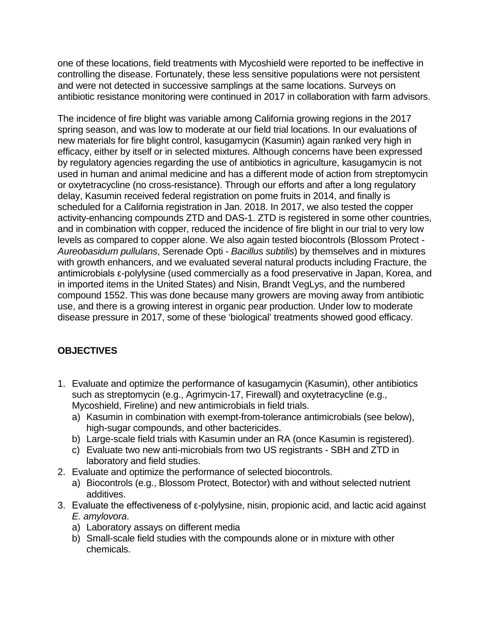one of these locations, field treatments with Mycoshield were reported to be ineffective in controlling the disease. Fortunately, these less sensitive populations were not persistent and were not detected in successive samplings at the same locations. Surveys on antibiotic resistance monitoring were continued in 2017 in collaboration with farm advisors.

The incidence of fire blight was variable among California growing regions in the 2017 spring season, and was low to moderate at our field trial locations. In our evaluations of new materials for fire blight control, kasugamycin (Kasumin) again ranked very high in efficacy, either by itself or in selected mixtures. Although concerns have been expressed by regulatory agencies regarding the use of antibiotics in agriculture, kasugamycin is not used in human and animal medicine and has a different mode of action from streptomycin or oxytetracycline (no cross-resistance). Through our efforts and after a long regulatory delay, Kasumin received federal registration on pome fruits in 2014, and finally is scheduled for a California registration in Jan. 2018. In 2017, we also tested the copper activity-enhancing compounds ZTD and DAS-1. ZTD is registered in some other countries, and in combination with copper, reduced the incidence of fire blight in our trial to very low levels as compared to copper alone. We also again tested biocontrols (Blossom Protect - *Aureobasidum pullulans*, Serenade Opti - *Bacillus subtilis*) by themselves and in mixtures with growth enhancers, and we evaluated several natural products including Fracture, the antimicrobials ε-polylysine (used commercially as a food preservative in Japan, Korea, and in imported items in the United States) and Nisin, Brandt VegLys, and the numbered compound 1552. This was done because many growers are moving away from antibiotic use, and there is a growing interest in organic pear production. Under low to moderate disease pressure in 2017, some of these 'biological' treatments showed good efficacy.

## **OBJECTIVES**

- 1. Evaluate and optimize the performance of kasugamycin (Kasumin), other antibiotics such as streptomycin (e.g., Agrimycin-17, Firewall) and oxytetracycline (e.g., Mycoshield, Fireline) and new antimicrobials in field trials.
	- a) Kasumin in combination with exempt-from-tolerance antimicrobials (see below), high-sugar compounds, and other bactericides.
	- b) Large-scale field trials with Kasumin under an RA (once Kasumin is registered).
	- c) Evaluate two new anti-microbials from two US registrants SBH and ZTD in laboratory and field studies.
- 2. Evaluate and optimize the performance of selected biocontrols.
	- a) Biocontrols (e.g., Blossom Protect, Botector) with and without selected nutrient additives.
- 3. Evaluate the effectiveness of ε-polylysine, nisin, propionic acid, and lactic acid against *E. amylovora*.
	- a) Laboratory assays on different media
	- b) Small-scale field studies with the compounds alone or in mixture with other chemicals.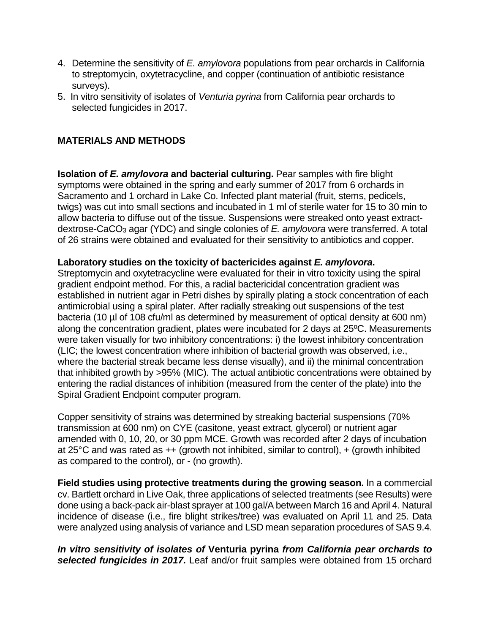- 4. Determine the sensitivity of *E. amylovora* populations from pear orchards in California to streptomycin, oxytetracycline, and copper (continuation of antibiotic resistance surveys).
- 5. In vitro sensitivity of isolates of *Venturia pyrina* from California pear orchards to selected fungicides in 2017.

## **MATERIALS AND METHODS**

**Isolation of** *E. amylovora* **and bacterial culturing.** Pear samples with fire blight symptoms were obtained in the spring and early summer of 2017 from 6 orchards in Sacramento and 1 orchard in Lake Co. Infected plant material (fruit, stems, pedicels, twigs) was cut into small sections and incubated in 1 ml of sterile water for 15 to 30 min to allow bacteria to diffuse out of the tissue. Suspensions were streaked onto yeast extractdextrose-CaCO3 agar (YDC) and single colonies of *E. amylovora* were transferred. A total of 26 strains were obtained and evaluated for their sensitivity to antibiotics and copper.

#### **Laboratory studies on the toxicity of bactericides against** *E. amylovora***.**

Streptomycin and oxytetracycline were evaluated for their in vitro toxicity using the spiral gradient endpoint method. For this, a radial bactericidal concentration gradient was established in nutrient agar in Petri dishes by spirally plating a stock concentration of each antimicrobial using a spiral plater. After radially streaking out suspensions of the test bacteria (10 µl of 108 cfu/ml as determined by measurement of optical density at 600 nm) along the concentration gradient, plates were incubated for 2 days at 25ºC. Measurements were taken visually for two inhibitory concentrations: i) the lowest inhibitory concentration (LIC; the lowest concentration where inhibition of bacterial growth was observed, i.e., where the bacterial streak became less dense visually), and ii) the minimal concentration that inhibited growth by >95% (MIC). The actual antibiotic concentrations were obtained by entering the radial distances of inhibition (measured from the center of the plate) into the Spiral Gradient Endpoint computer program.

Copper sensitivity of strains was determined by streaking bacterial suspensions (70% transmission at 600 nm) on CYE (casitone, yeast extract, glycerol) or nutrient agar amended with 0, 10, 20, or 30 ppm MCE. Growth was recorded after 2 days of incubation at 25°C and was rated as ++ (growth not inhibited, similar to control), + (growth inhibited as compared to the control), or - (no growth).

**Field studies using protective treatments during the growing season.** In a commercial cv. Bartlett orchard in Live Oak, three applications of selected treatments (see Results) were done using a back-pack air-blast sprayer at 100 gal/A between March 16 and April 4. Natural incidence of disease (i.e., fire blight strikes/tree) was evaluated on April 11 and 25. Data were analyzed using analysis of variance and LSD mean separation procedures of SAS 9.4.

*In vitro sensitivity of isolates of* **Venturia pyrina** *from California pear orchards to selected fungicides in 2017.* Leaf and/or fruit samples were obtained from 15 orchard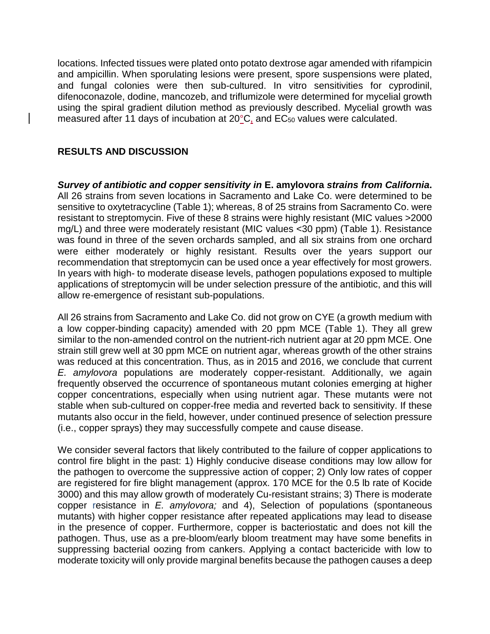locations. Infected tissues were plated onto potato dextrose agar amended with rifampicin and ampicillin. When sporulating lesions were present, spore suspensions were plated, and fungal colonies were then sub-cultured. In vitro sensitivities for cyprodinil, difenoconazole, dodine, mancozeb, and triflumizole were determined for mycelial growth using the spiral gradient dilution method as previously described. Mycelial growth was measured after 11 days of incubation at 20°C, and EC<sub>50</sub> values were calculated.

## **RESULTS AND DISCUSSION**

*Survey of antibiotic and copper sensitivity in* **E. amylovora** *strains from California***.**  All 26 strains from seven locations in Sacramento and Lake Co. were determined to be sensitive to oxytetracycline (Table 1); whereas, 8 of 25 strains from Sacramento Co. were resistant to streptomycin. Five of these 8 strains were highly resistant (MIC values >2000 mg/L) and three were moderately resistant (MIC values <30 ppm) (Table 1). Resistance was found in three of the seven orchards sampled, and all six strains from one orchard were either moderately or highly resistant. Results over the years support our recommendation that streptomycin can be used once a year effectively for most growers. In years with high- to moderate disease levels, pathogen populations exposed to multiple applications of streptomycin will be under selection pressure of the antibiotic, and this will allow re-emergence of resistant sub-populations.

All 26 strains from Sacramento and Lake Co. did not grow on CYE (a growth medium with a low copper-binding capacity) amended with 20 ppm MCE (Table 1). They all grew similar to the non-amended control on the nutrient-rich nutrient agar at 20 ppm MCE. One strain still grew well at 30 ppm MCE on nutrient agar, whereas growth of the other strains was reduced at this concentration. Thus, as in 2015 and 2016, we conclude that current *E. amylovora* populations are moderately copper-resistant. Additionally, we again frequently observed the occurrence of spontaneous mutant colonies emerging at higher copper concentrations, especially when using nutrient agar. These mutants were not stable when sub-cultured on copper-free media and reverted back to sensitivity. If these mutants also occur in the field, however, under continued presence of selection pressure (i.e., copper sprays) they may successfully compete and cause disease.

We consider several factors that likely contributed to the failure of copper applications to control fire blight in the past: 1) Highly conducive disease conditions may low allow for the pathogen to overcome the suppressive action of copper; 2) Only low rates of copper are registered for fire blight management (approx. 170 MCE for the 0.5 lb rate of Kocide 3000) and this may allow growth of moderately Cu-resistant strains; 3) There is moderate copper resistance in *E. amylovora;* and 4), Selection of populations (spontaneous mutants) with higher copper resistance after repeated applications may lead to disease in the presence of copper. Furthermore, copper is bacteriostatic and does not kill the pathogen. Thus, use as a pre-bloom/early bloom treatment may have some benefits in suppressing bacterial oozing from cankers. Applying a contact bactericide with low to moderate toxicity will only provide marginal benefits because the pathogen causes a deep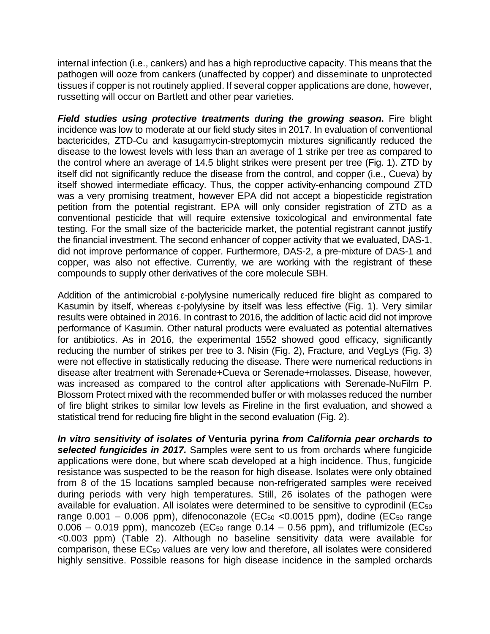internal infection (i.e., cankers) and has a high reproductive capacity. This means that the pathogen will ooze from cankers (unaffected by copper) and disseminate to unprotected tissues if copper is not routinely applied. If several copper applications are done, however, russetting will occur on Bartlett and other pear varieties.

*Field studies using protective treatments during the growing season***.** Fire blight incidence was low to moderate at our field study sites in 2017. In evaluation of conventional bactericides, ZTD-Cu and kasugamycin-streptomycin mixtures significantly reduced the disease to the lowest levels with less than an average of 1 strike per tree as compared to the control where an average of 14.5 blight strikes were present per tree (Fig. 1). ZTD by itself did not significantly reduce the disease from the control, and copper (i.e., Cueva) by itself showed intermediate efficacy. Thus, the copper activity-enhancing compound ZTD was a very promising treatment, however EPA did not accept a biopesticide registration petition from the potential registrant. EPA will only consider registration of ZTD as a conventional pesticide that will require extensive toxicological and environmental fate testing. For the small size of the bactericide market, the potential registrant cannot justify the financial investment. The second enhancer of copper activity that we evaluated, DAS-1, did not improve performance of copper. Furthermore, DAS-2, a pre-mixture of DAS-1 and copper, was also not effective. Currently, we are working with the registrant of these compounds to supply other derivatives of the core molecule SBH.

Addition of the antimicrobial ε-polylysine numerically reduced fire blight as compared to Kasumin by itself, whereas ε-polylysine by itself was less effective (Fig. 1). Very similar results were obtained in 2016. In contrast to 2016, the addition of lactic acid did not improve performance of Kasumin. Other natural products were evaluated as potential alternatives for antibiotics. As in 2016, the experimental 1552 showed good efficacy, significantly reducing the number of strikes per tree to 3. Nisin (Fig. 2), Fracture, and VegLys (Fig. 3) were not effective in statistically reducing the disease. There were numerical reductions in disease after treatment with Serenade+Cueva or Serenade+molasses. Disease, however, was increased as compared to the control after applications with Serenade-NuFilm P. Blossom Protect mixed with the recommended buffer or with molasses reduced the number of fire blight strikes to similar low levels as Fireline in the first evaluation, and showed a statistical trend for reducing fire blight in the second evaluation (Fig. 2).

*In vitro sensitivity of isolates of* **Venturia pyrina** *from California pear orchards to selected fungicides in 2017.* Samples were sent to us from orchards where fungicide applications were done, but where scab developed at a high incidence. Thus, fungicide resistance was suspected to be the reason for high disease. Isolates were only obtained from 8 of the 15 locations sampled because non-refrigerated samples were received during periods with very high temperatures. Still, 26 isolates of the pathogen were available for evaluation. All isolates were determined to be sensitive to cyprodinil (EC<sub>50</sub> range  $0.001 - 0.006$  ppm), difenoconazole (EC $_{50}$  <0.0015 ppm), dodine (EC $_{50}$  range  $0.006 - 0.019$  ppm), mancozeb (EC<sub>50</sub> range  $0.14 - 0.56$  ppm), and triflumizole (EC<sub>50</sub> <0.003 ppm) (Table 2). Although no baseline sensitivity data were available for comparison, these EC50 values are very low and therefore, all isolates were considered highly sensitive. Possible reasons for high disease incidence in the sampled orchards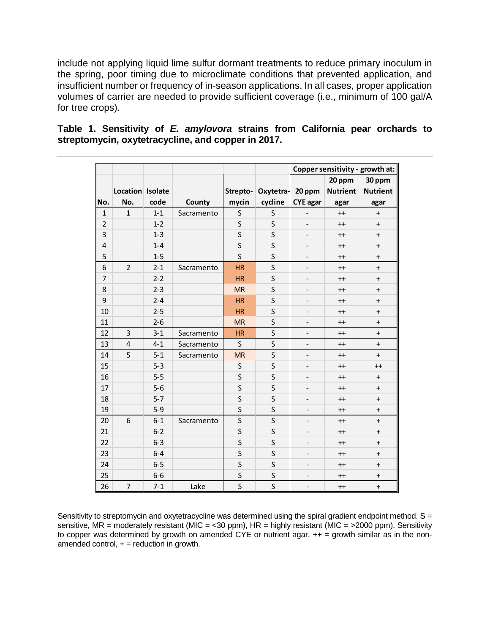include not applying liquid lime sulfur dormant treatments to reduce primary inoculum in the spring, poor timing due to microclimate conditions that prevented application, and insufficient number or frequency of in-season applications. In all cases, proper application volumes of carrier are needed to provide sufficient coverage (i.e., minimum of 100 gal/A for tree crops).

|                |                         |         |            |                         |                    | Copper sensitivity - growth at: |                 |                 |  |  |
|----------------|-------------------------|---------|------------|-------------------------|--------------------|---------------------------------|-----------------|-----------------|--|--|
|                |                         |         |            |                         |                    | 20 ppm                          |                 | 30 ppm          |  |  |
|                | Location Isolate        |         |            |                         | Strepto- Oxytetra- | 20 ppm                          | <b>Nutrient</b> | <b>Nutrient</b> |  |  |
| No.            | No.                     | code    | County     | mycin                   | cycline            | <b>CYE</b> agar                 | agar            | agar            |  |  |
| $\mathbf{1}$   | $\mathbf{1}$            | $1 - 1$ | Sacramento | S                       | $\sf S$            | $\qquad \qquad \blacksquare$    | $++$            | $+$             |  |  |
| $\overline{2}$ |                         | $1 - 2$ |            | S                       | S                  | $\overline{\phantom{a}}$        | $++$            | $\ddot{}$       |  |  |
| 3              |                         | $1 - 3$ |            | S                       | S                  |                                 | $^{++}$         | $\pmb{+}$       |  |  |
| 4              |                         | $1 - 4$ |            | S                       | S                  |                                 | $^{++}$         | $\ddot{}$       |  |  |
| 5              |                         | $1 - 5$ |            | S                       | $\sf S$            |                                 | $^{++}$         | $\ddot{}$       |  |  |
| 6              | $\overline{2}$          | $2 - 1$ | Sacramento | <b>HR</b>               | S                  | $\overline{\phantom{a}}$        | $++$            | $\ddot{}$       |  |  |
| 7              |                         | $2 - 2$ |            | <b>HR</b>               | S                  |                                 | $^{++}$         | $\pmb{+}$       |  |  |
| 8              |                         | $2 - 3$ |            | <b>MR</b>               | S                  |                                 | $++$            | $\ddot{}$       |  |  |
| 9              |                         | $2 - 4$ |            | <b>HR</b>               | S                  |                                 | $++$            | $\ddot{}$       |  |  |
| 10             |                         | $2 - 5$ |            | <b>HR</b>               | S                  | $\qquad \qquad \blacksquare$    | $++$            | $\ddot{}$       |  |  |
| 11             |                         | $2 - 6$ |            | <b>MR</b>               | S                  |                                 | $^{++}$         | $\ddot{}$       |  |  |
| 12             | $\overline{\mathbf{3}}$ | $3 - 1$ | Sacramento | <b>HR</b>               | S                  | $\qquad \qquad \blacksquare$    | $^{++}$         | $\ddot{}$       |  |  |
| 13             | $\overline{4}$          | $4 - 1$ | Sacramento | $\mathsf{S}$            | S                  | $\overline{a}$                  | $^{++}$         | $\pmb{+}$       |  |  |
| 14             | 5                       | $5 - 1$ | Sacramento | <b>MR</b>               | $\mathsf S$        | $\qquad \qquad -$               | $^{++}$         | $\ddot{}$       |  |  |
| 15             |                         | $5 - 3$ |            | S                       | S                  |                                 | $++$            | $^{++}$         |  |  |
| 16             |                         | $5 - 5$ |            | S                       | S                  |                                 | $^{++}$         | $\ddot{}$       |  |  |
| 17             |                         | $5-6$   |            | S                       | S                  | $\overline{\phantom{a}}$        | $^{++}$         | $\ddot{}$       |  |  |
| 18             |                         | $5 - 7$ |            | S                       | S                  | $\qquad \qquad -$               | $++$            | $\ddot{}$       |  |  |
| 19             |                         | $5 - 9$ |            | S                       | S                  | $\overline{\phantom{a}}$        | $^{++}$         | $\ddot{}$       |  |  |
| 20             | 6                       | $6 - 1$ | Sacramento | S                       | S                  | $\overline{\phantom{a}}$        | $^{++}$         | $\ddot{}$       |  |  |
| 21             |                         | $6 - 2$ |            | S                       | S                  |                                 | $^{++}$         | $\ddot{}$       |  |  |
| 22             |                         | $6 - 3$ |            | S                       | S                  |                                 | $^{++}$         | $\ddot{}$       |  |  |
| 23             |                         | $6 - 4$ |            | S                       | S                  |                                 | $++$            | $\ddot{}$       |  |  |
| 24             |                         | $6 - 5$ |            | S                       | S                  |                                 | $^{++}$         | $\ddot{}$       |  |  |
| 25             |                         | $6-6$   |            | S                       | S                  | $\overline{\phantom{0}}$        | $^{++}$         | $\pmb{+}$       |  |  |
| 26             | 7                       | $7 - 1$ | Lake       | $\overline{\mathsf{S}}$ | S                  | $\overline{a}$                  | $^{++}$         | $\ddot{}$       |  |  |

## **Table 1. Sensitivity of** *E. amylovora* **strains from California pear orchards to streptomycin, oxytetracycline, and copper in 2017.**

Sensitivity to streptomycin and oxytetracycline was determined using the spiral gradient endpoint method.  $S =$ sensitive, MR = moderately resistant (MIC = <30 ppm), HR = highly resistant (MIC = >2000 ppm). Sensitivity to copper was determined by growth on amended CYE or nutrient agar. ++ = growth similar as in the nonamended control,  $+$  = reduction in growth.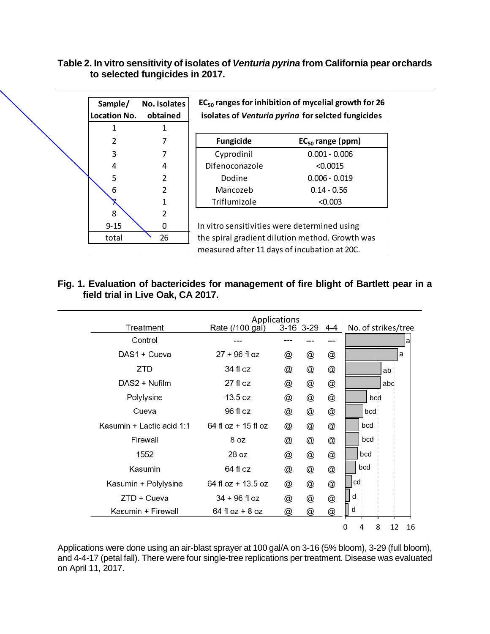## **Table 2. In vitro sensitivity of isolates of** *Venturia pyrina* **from California pear orchards to selected fungicides in 2017.**

| Sample/<br>Location No. | No. isolates<br>obtained | $EC_{50}$ ranges for inhibition of mycelial growth for 26<br>isolates of Venturia pyrina for selcted fungicides |                       |  |  |  |  |  |
|-------------------------|--------------------------|-----------------------------------------------------------------------------------------------------------------|-----------------------|--|--|--|--|--|
| 1                       | 1                        |                                                                                                                 |                       |  |  |  |  |  |
| 2                       |                          | <b>Fungicide</b>                                                                                                | $EC_{50}$ range (ppm) |  |  |  |  |  |
| 3                       |                          | Cyprodinil                                                                                                      | $0.001 - 0.006$       |  |  |  |  |  |
| 4                       | 4                        | Difenoconazole                                                                                                  | < 0.0015              |  |  |  |  |  |
| 5                       | $\overline{2}$           | Dodine                                                                                                          | $0.006 - 0.019$       |  |  |  |  |  |
| 6                       | $\overline{\mathcal{L}}$ | Mancozeb                                                                                                        | $0.14 - 0.56$         |  |  |  |  |  |
|                         | 1                        | Triflumizole                                                                                                    | < 0.003               |  |  |  |  |  |
| 8                       | $\overline{\mathbf{c}}$  |                                                                                                                 |                       |  |  |  |  |  |
| $9 - 15$                | 0                        | In vitro sensitivities were determined using                                                                    |                       |  |  |  |  |  |
| total                   | 26                       | the spiral gradient dilution method. Growth was                                                                 |                       |  |  |  |  |  |
|                         |                          | measured after 11 days of incubation at 20C.                                                                    |                       |  |  |  |  |  |

# **Fig. 1. Evaluation of bactericides for management of fire blight of Bartlett pear in a field trial in Live Oak, CA 2017.**

|                           | Applications<br>3-16 3-29 4-4 |   |                           |                           |                         |
|---------------------------|-------------------------------|---|---------------------------|---------------------------|-------------------------|
| Treatment                 | Rate (/100 gal)               |   |                           |                           | No. of strikes/tree     |
| Control                   |                               |   |                           |                           | a                       |
| DAS1 + Cueva              | $27 + 96$ fl oz               | @ | @                         | $^\text{\textregistered}$ | a                       |
| ZTD                       | 34 fl oz                      | @ | $^\text{\textregistered}$ | $^\text{\textregistered}$ | ab                      |
| DAS2 + Nufilm             | $27$ fl oz                    | @ | $^\text{\textregistered}$ | $^\text{\textregistered}$ | abc                     |
| Polylysine                | 13.5 oz                       | @ | $^\text{\textregistered}$ | $^\text{\textregistered}$ | bcd                     |
| Cueva                     | 96 fl oz                      | @ | $^\text{\textregistered}$ | $^\text{\textregistered}$ | bcd                     |
| Kasumin + Lactic acid 1:1 | $64$ fl oz $+$ 15 fl oz       | @ | $^\text{\textregistered}$ | $^\text{\textregistered}$ | bcd                     |
| Firewall                  | 8 oz                          | @ | $^\text{\textregistered}$ | $^\text{\textregistered}$ | bcd                     |
| 1552                      | 28 oz                         | @ | $^\text{\textregistered}$ | @                         | bcd                     |
| Kasumin                   | 64 fl oz                      | @ | $^\text{\textregistered}$ | $^\text{\textregistered}$ | bcd                     |
| Kasumin + Polylysine      | 64 fl oz $+$ 13.5 oz          | @ | $^\text{\textregistered}$ | $^\text{\textregistered}$ | cd                      |
| $ZTD + Cueva$             | $34 + 96$ fl oz               | @ | @                         | $^\text{\textregistered}$ | d                       |
| Kasumin + Firewall        | $64$ fl oz + 8 oz             | @ | $^\text{\textregistered}$ | $^\text{\textregistered}$ | d                       |
|                           |                               |   |                           |                           | 8<br>12<br>4<br>16<br>0 |

Applications were done using an air-blast sprayer at 100 gal/A on 3-16 (5% bloom), 3-29 (full bloom), and 4-4-17 (petal fall). There were four single-tree replications per treatment. Disease was evaluated on April 11, 2017.